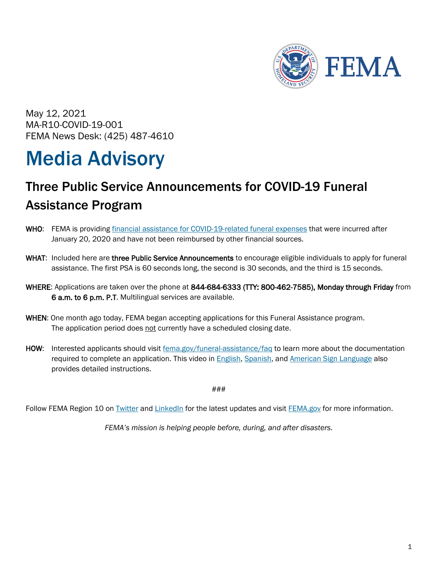

May 12, 2021 MA-R10-COVID-19-001 FEMA News Desk: (425) 487-4610

# Media Advisory

## Three Public Service Announcements for COVID-19 Funeral Assistance Program

- WHO: FEMA is providing [financial assistance for COVID-19-related funeral expenses](https://www.fema.gov/disasters/coronavirus/economic/funeral-assistance/faq) that were incurred after January 20, 2020 and have not been reimbursed by other financial sources.
- WHAT: Included here are three Public Service Announcements to encourage eligible individuals to apply for funeral assistance. The first PSA is 60 seconds long, the second is 30 seconds, and the third is 15 seconds.
- WHERE: Applications are taken over the phone at 844-684-6333 (TTY: 800-462-7585), Monday through Friday from 6 a.m. to 6 p.m. P.T. Multilingual services are available.
- WHEN: One month ago today, FEMA began accepting applications for this Funeral Assistance program. The application period does not currently have a scheduled closing date.
- HOW: Interested applicants should visit [fema.gov/funeral-assistance/faq](https://www.fema.gov/funeral-assistance/faq) to learn more about the documentation required to complete an application. This video in [English,](https://www.youtube.com/watch?app=desktop&v=DgvN_9m58Z0) [Spanish,](https://www.youtube.com/watch?app=desktop&v=NGaWq_Hg87I) and [American Sign Language](https://www.youtube.com/watch?v=7-olWbPiJMo) also provides detailed instructions.

###

Follow FEMA Region 10 on **Twitter and [LinkedIn](http://www.linkedin.com/company/fema-region-10)** for the latest updates and visit **FEMA.gov** for more information.

*FEMA's mission is helping people before, during, and after disasters.*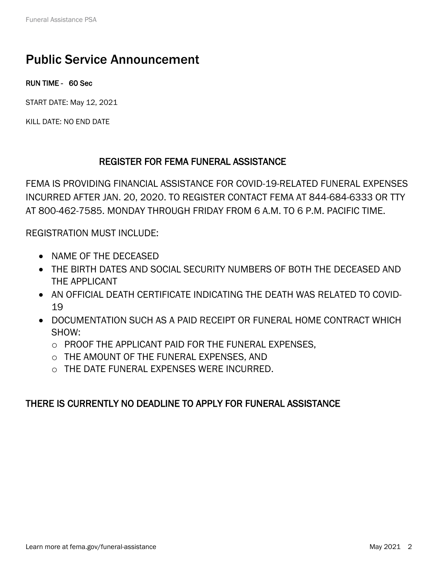## Public Service Announcement

RUN TIME - 60 Sec

START DATE: May 12, 2021

KILL DATE: NO END DATE

### REGISTER FOR FEMA FUNERAL ASSISTANCE

FEMA IS PROVIDING FINANCIAL ASSISTANCE FOR COVID-19-RELATED FUNERAL EXPENSES INCURRED AFTER JAN. 20, 2020. TO REGISTER CONTACT FEMA AT 844-684-6333 OR TTY AT 800-462-7585. MONDAY THROUGH FRIDAY FROM 6 A.M. TO 6 P.M. PACIFIC TIME.

REGISTRATION MUST INCLUDE:

- NAME OF THE DECEASED
- THE BIRTH DATES AND SOCIAL SECURITY NUMBERS OF BOTH THE DECEASED AND THE APPLICANT
- AN OFFICIAL DEATH CERTIFICATE INDICATING THE DEATH WAS RELATED TO COVID-19
- DOCUMENTATION SUCH AS A PAID RECEIPT OR FUNERAL HOME CONTRACT WHICH SHOW:
	- o PROOF THE APPLICANT PAID FOR THE FUNERAL EXPENSES,
	- o THE AMOUNT OF THE FUNERAL EXPENSES, AND
	- o THE DATE FUNERAL EXPENSES WERE INCURRED.

### THERE IS CURRENTLY NO DEADLINE TO APPLY FOR FUNERAL ASSISTANCE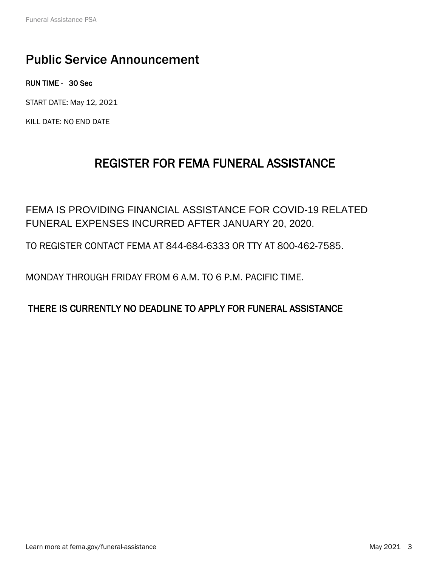## Public Service Announcement

RUN TIME - 30 Sec

START DATE: May 12, 2021

KILL DATE: NO END DATE

## REGISTER FOR FEMA FUNERAL ASSISTANCE

FEMA IS PROVIDING FINANCIAL ASSISTANCE FOR COVID-19 RELATED FUNERAL EXPENSES INCURRED AFTER JANUARY 20, 2020.

TO REGISTER CONTACT FEMA AT 844-684-6333 OR TTY AT 800-462-7585.

MONDAY THROUGH FRIDAY FROM 6 A.M. TO 6 P.M. PACIFIC TIME.

### THERE IS CURRENTLY NO DEADLINE TO APPLY FOR FUNERAL ASSISTANCE